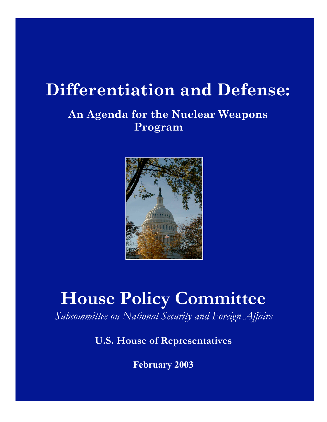# **Differentiation and Defense:**

## **An Agenda for the Nuclear Weapons Program**



# **House Policy Committee**

*Subcommittee on National Security and Foreign Affairs*

## **U.S. House of Representatives**

**February 2003**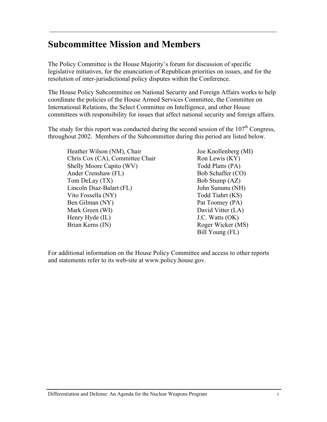## **Subcommittee Mission and Members**

The Policy Committee is the House Majority's forum for discussion of specific legislative initiatives, for the enunciation of Republican priorities on issues, and for the resolution of inter-jurisdictional policy disputes within the Conference.

The House Policy Subcommittee on National Security and Foreign Affairs works to help coordinate the policies of the House Armed Services Committee, the Committee on International Relations, the Select Committee on Intelligence, and other House committees with responsibility for issues that affect national security and foreign affairs.

The study for this report was conducted during the second session of the  $107<sup>th</sup>$  Congress. throughout 2002. Members of the Subcommittee during this period are listed below.

Heather Wilson (NM), Chair Chris Cox (CA), Committee Chair Shelly Moore Capito (WV) Ander Crenshaw (FL) Tom DeLay (TX) Lincoln Diaz-Balart (FL) Vito Fossella (NY) Ben Gilman (NY) Mark Green (WI) Henry Hyde (IL) Brian Kerns (IN)

Joe Knollenberg (MI) Ron Lewis (KY) Todd Platts (PA) Bob Schaffer (CO) Bob Stump (AZ) John Sununu (NH) Todd Tiahrt (KS) Pat Toomey (PA) David Vitter (LA) J.C. Watts (OK) Roger Wicker (MS) Bill Young (FL)

For additional information on the House Policy Committee and access to other reports and statements refer to its web-site at www.policy.house.gov.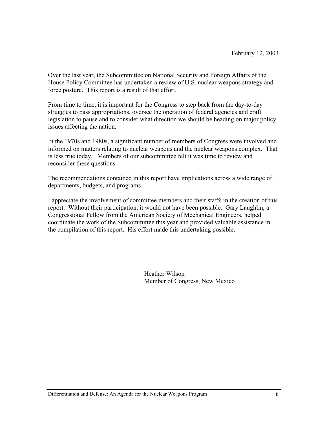Over the last year, the Subcommittee on National Security and Foreign Affairs of the House Policy Committee has undertaken a review of U.S. nuclear weapons strategy and force posture. This report is a result of that effort.

From time to time, it is important for the Congress to step back from the day-to-day struggles to pass appropriations, oversee the operation of federal agencies and craft legislation to pause and to consider what direction we should be heading on major policy issues affecting the nation.

In the 1970s and 1980s, a significant number of members of Congress were involved and informed on matters relating to nuclear weapons and the nuclear weapons complex. That is less true today. Members of our subcommittee felt it was time to review and reconsider these questions.

The recommendations contained in this report have implications across a wide range of departments, budgets, and programs.

I appreciate the involvement of committee members and their staffs in the creation of this report. Without their participation, it would not have been possible. Gary Laughlin, a Congressional Fellow from the American Society of Mechanical Engineers, helped coordinate the work of the Subcommittee this year and provided valuable assistance in the compilation of this report. His effort made this undertaking possible.

> Heather Wilson Member of Congress, New Mexico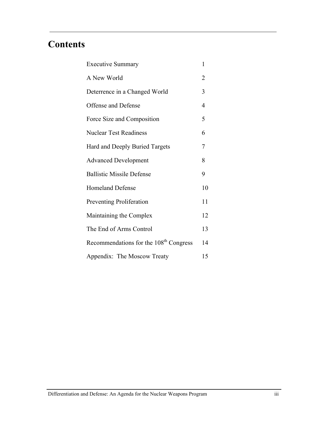## **Contents**

| <b>Executive Summary</b>                           | 1              |
|----------------------------------------------------|----------------|
| A New World                                        | $\overline{2}$ |
| Deterrence in a Changed World                      | 3              |
| Offense and Defense                                | $\overline{4}$ |
| Force Size and Composition                         | 5              |
| <b>Nuclear Test Readiness</b>                      | 6              |
| Hard and Deeply Buried Targets                     | 7              |
| <b>Advanced Development</b>                        | 8              |
| <b>Ballistic Missile Defense</b>                   | 9              |
| <b>Homeland Defense</b>                            | 10             |
| <b>Preventing Proliferation</b>                    | 11             |
| Maintaining the Complex                            | 12             |
| The End of Arms Control                            | 13             |
| Recommendations for the 108 <sup>th</sup> Congress | 14             |
| Appendix: The Moscow Treaty                        | 15             |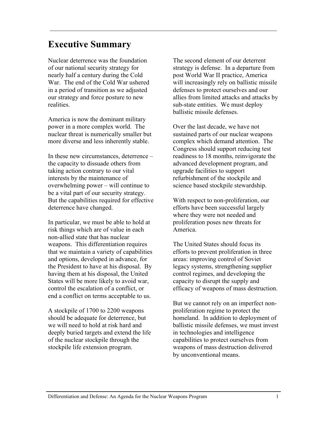#### **Executive Summary**

Nuclear deterrence was the foundation of our national security strategy for nearly half a century during the Cold War. The end of the Cold War ushered in a period of transition as we adjusted our strategy and force posture to new realities.

America is now the dominant military power in a more complex world. The nuclear threat is numerically smaller but more diverse and less inherently stable.

In these new circumstances, deterrence – the capacity to dissuade others from taking action contrary to our vital interests by the maintenance of overwhelming power – will continue to be a vital part of our security strategy. But the capabilities required for effective deterrence have changed.

In particular, we must be able to hold at risk things which are of value in each non-allied state that has nuclear weapons. This differentiation requires that we maintain a variety of capabilities and options, developed in advance, for the President to have at his disposal. By having them at his disposal, the United States will be more likely to avoid war, control the escalation of a conflict, or end a conflict on terms acceptable to us.

A stockpile of 1700 to 2200 weapons should be adequate for deterrence, but we will need to hold at risk hard and deeply buried targets and extend the life of the nuclear stockpile through the stockpile life extension program.

The second element of our deterrent strategy is defense. In a departure from post World War II practice, America will increasingly rely on ballistic missile defenses to protect ourselves and our allies from limited attacks and attacks by sub-state entities. We must deploy ballistic missile defenses.

Over the last decade, we have not sustained parts of our nuclear weapons complex which demand attention. The Congress should support reducing test readiness to 18 months, reinvigorate the advanced development program, and upgrade facilities to support refurbishment of the stockpile and science based stockpile stewardship.

With respect to non-proliferation, our efforts have been successful largely where they were not needed and proliferation poses new threats for America.

The United States should focus its efforts to prevent proliferation in three areas: improving control of Soviet legacy systems, strengthening supplier control regimes, and developing the capacity to disrupt the supply and efficacy of weapons of mass destruction.

But we cannot rely on an imperfect nonproliferation regime to protect the homeland. In addition to deployment of ballistic missile defenses, we must invest in technologies and intelligence capabilities to protect ourselves from weapons of mass destruction delivered by unconventional means.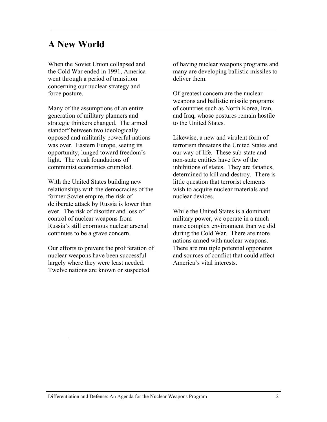#### **A New World**

When the Soviet Union collapsed and the Cold War ended in 1991, America went through a period of transition concerning our nuclear strategy and force posture.

Many of the assumptions of an entire generation of military planners and strategic thinkers changed. The armed standoff between two ideologically opposed and militarily powerful nations was over. Eastern Europe, seeing its opportunity, lunged toward freedom's light. The weak foundations of communist economies crumbled.

With the United States building new relationships with the democracies of the former Soviet empire, the risk of deliberate attack by Russia is lower than ever. The risk of disorder and loss of control of nuclear weapons from Russia's still enormous nuclear arsenal continues to be a grave concern.

Our efforts to prevent the proliferation of nuclear weapons have been successful largely where they were least needed. Twelve nations are known or suspected

.

of having nuclear weapons programs and many are developing ballistic missiles to deliver them.

Of greatest concern are the nuclear weapons and ballistic missile programs of countries such as North Korea, Iran, and Iraq, whose postures remain hostile to the United States.

Likewise, a new and virulent form of terrorism threatens the United States and our way of life. These sub-state and non-state entities have few of the inhibitions of states. They are fanatics, determined to kill and destroy. There is little question that terrorist elements wish to acquire nuclear materials and nuclear devices.

While the United States is a dominant military power, we operate in a much more complex environment than we did during the Cold War. There are more nations armed with nuclear weapons. There are multiple potential opponents and sources of conflict that could affect America's vital interests.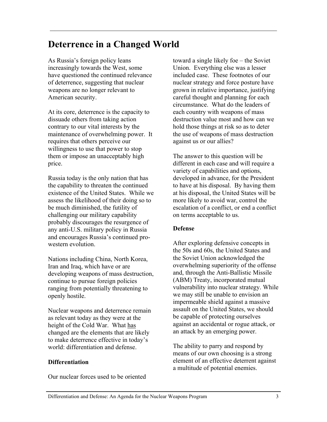## **Deterrence in a Changed World**

As Russia's foreign policy leans increasingly towards the West, some have questioned the continued relevance of deterrence, suggesting that nuclear weapons are no longer relevant to American security.

At its core, deterrence is the capacity to dissuade others from taking action contrary to our vital interests by the maintenance of overwhelming power. It requires that others perceive our willingness to use that power to stop them or impose an unacceptably high price.

Russia today is the only nation that has the capability to threaten the continued existence of the United States. While we assess the likelihood of their doing so to be much diminished, the futility of challenging our military capability probably discourages the resurgence of any anti-U.S. military policy in Russia and encourages Russia's continued prowestern evolution.

Nations including China, North Korea, Iran and Iraq, which have or are developing weapons of mass destruction, continue to pursue foreign policies ranging from potentially threatening to openly hostile.

Nuclear weapons and deterrence remain as relevant today as they were at the height of the Cold War. What has changed are the elements that are likely to make deterrence effective in today's world: differentiation and defense.

#### **Differentiation**

Our nuclear forces used to be oriented

toward a single likely foe – the Soviet Union. Everything else was a lesser included case. These footnotes of our nuclear strategy and force posture have grown in relative importance, justifying careful thought and planning for each circumstance. What do the leaders of each country with weapons of mass destruction value most and how can we hold those things at risk so as to deter the use of weapons of mass destruction against us or our allies?

The answer to this question will be different in each case and will require a variety of capabilities and options, developed in advance, for the President to have at his disposal. By having them at his disposal, the United States will be more likely to avoid war, control the escalation of a conflict, or end a conflict on terms acceptable to us.

#### **Defense**

After exploring defensive concepts in the 50s and 60s, the United States and the Soviet Union acknowledged the overwhelming superiority of the offense and, through the Anti-Ballistic Missile (ABM) Treaty, incorporated mutual vulnerability into nuclear strategy. While we may still be unable to envision an impermeable shield against a massive assault on the United States, we should be capable of protecting ourselves against an accidental or rogue attack, or an attack by an emerging power.

The ability to parry and respond by means of our own choosing is a strong element of an effective deterrent against a multitude of potential enemies.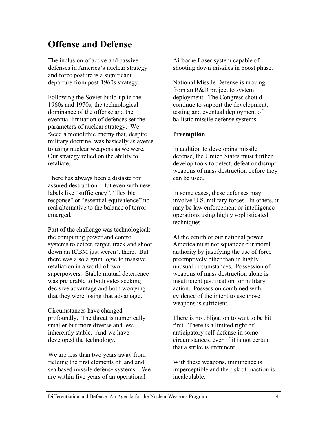## **Offense and Defense**

The inclusion of active and passive defenses in America's nuclear strategy and force posture is a significant departure from post-1960s strategy.

Following the Soviet build-up in the 1960s and 1970s, the technological dominance of the offense and the eventual limitation of defenses set the parameters of nuclear strategy. We faced a monolithic enemy that, despite military doctrine, was basically as averse to using nuclear weapons as we were. Our strategy relied on the ability to retaliate.

There has always been a distaste for assured destruction. But even with new labels like "sufficiency", "flexible response" or "essential equivalence" no real alternative to the balance of terror emerged.

Part of the challenge was technological: the computing power and control systems to detect, target, track and shoot down an ICBM just weren't there. But there was also a grim logic to massive retaliation in a world of two superpowers. Stable mutual deterrence was preferable to both sides seeking decisive advantage and both worrying that they were losing that advantage.

Circumstances have changed profoundly. The threat is numerically smaller but more diverse and less inherently stable. And we have developed the technology.

We are less than two years away from fielding the first elements of land and sea based missile defense systems. We are within five years of an operational

Airborne Laser system capable of shooting down missiles in boost phase.

National Missile Defense is moving from an R&D project to system deployment. The Congress should continue to support the development, testing and eventual deployment of ballistic missile defense systems.

#### **Preemption**

In addition to developing missile defense, the United States must further develop tools to detect, defeat or disrupt weapons of mass destruction before they can be used.

In some cases, these defenses may involve U.S. military forces. In others, it may be law enforcement or intelligence operations using highly sophisticated techniques.

At the zenith of our national power, America must not squander our moral authority by justifying the use of force preemptively other than in highly unusual circumstances. Possession of weapons of mass destruction alone is insufficient justification for military action. Possession combined with evidence of the intent to use those weapons is sufficient.

There is no obligation to wait to be hit first. There is a limited right of anticipatory self-defense in some circumstances, even if it is not certain that a strike is imminent.

With these weapons, imminence is imperceptible and the risk of inaction is incalculable.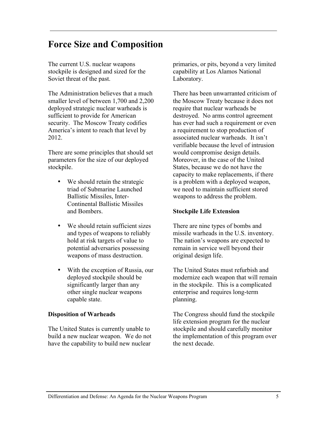## **Force Size and Composition**

The current U.S. nuclear weapons stockpile is designed and sized for the Soviet threat of the past.

The Administration believes that a much smaller level of between 1,700 and 2,200 deployed strategic nuclear warheads is sufficient to provide for American security. The Moscow Treaty codifies America's intent to reach that level by 2012.

There are some principles that should set parameters for the size of our deployed stockpile.

> We should retain the strategic triad of Submarine Launched Ballistic Missiles, Inter-Continental Ballistic Missiles and Bombers.

We should retain sufficient sizes and types of weapons to reliably hold at risk targets of value to potential adversaries possessing weapons of mass destruction.

With the exception of Russia, our deployed stockpile should be significantly larger than any other single nuclear weapons capable state.

#### **Disposition of Warheads**

The United States is currently unable to build a new nuclear weapon. We do not have the capability to build new nuclear

primaries, or pits, beyond a very limited capability at Los Alamos National Laboratory.

There has been unwarranted criticism of the Moscow Treaty because it does not require that nuclear warheads be destroyed. No arms control agreement has ever had such a requirement or even a requirement to stop production of associated nuclear warheads. It isn't verifiable because the level of intrusion would compromise design details. Moreover, in the case of the United States, because we do not have the capacity to make replacements, if there is a problem with a deployed weapon, we need to maintain sufficient stored weapons to address the problem.

#### **Stockpile Life Extension**

There are nine types of bombs and missile warheads in the U.S. inventory. The nation's weapons are expected to remain in service well beyond their original design life.

The United States must refurbish and modernize each weapon that will remain in the stockpile. This is a complicated enterprise and requires long-term planning.

The Congress should fund the stockpile life extension program for the nuclear stockpile and should carefully monitor the implementation of this program over the next decade.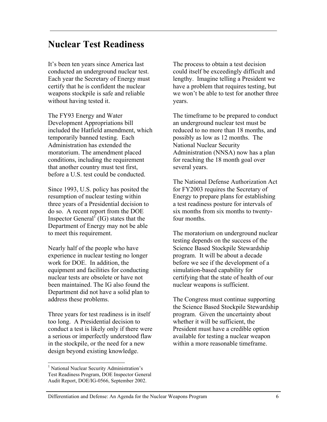#### **Nuclear Test Readiness**

It's been ten years since America last conducted an underground nuclear test. Each year the Secretary of Energy must certify that he is confident the nuclear weapons stockpile is safe and reliable without having tested it.

The FY93 Energy and Water Development Appropriations bill included the Hatfield amendment, which temporarily banned testing. Each Administration has extended the moratorium. The amendment placed conditions, including the requirement that another country must test first, before a U.S. test could be conducted.

Since 1993, U.S. policy has posited the resumption of nuclear testing within three years of a Presidential decision to do so. A recent report from the DOE Inspector General  $\int$  (IG) states that the Department of Energy may not be able to meet this requirement.

Nearly half of the people who have experience in nuclear testing no longer work for DOE. In addition, the equipment and facilities for conducting nuclear tests are obsolete or have not been maintained. The IG also found the Department did not have a solid plan to address these problems.

Three years for test readiness is in itself too long. A Presidential decision to conduct a test is likely only if there were a serious or imperfectly understood flaw in the stockpile, or the need for a new design beyond existing knowledge.

The process to obtain a test decision could itself be exceedingly difficult and lengthy. Imagine telling a President we have a problem that requires testing, but we won't be able to test for another three years.

The timeframe to be prepared to conduct an underground nuclear test must be reduced to no more than 18 months, and possibly as low as 12 months. The National Nuclear Security Administration (NNSA) now has a plan for reaching the 18 month goal over several years.

The National Defense Authorization Act for FY2003 requires the Secretary of Energy to prepare plans for establishing a test readiness posture for intervals of six months from six months to twentyfour months.

The moratorium on underground nuclear testing depends on the success of the Science Based Stockpile Stewardship program. It will be about a decade before we see if the development of a simulation-based capability for certifying that the state of health of our nuclear weapons is sufficient.

The Congress must continue supporting the Science Based Stockpile Stewardship program. Given the uncertainty about whether it will be sufficient, the President must have a credible option available for testing a nuclear weapon within a more reasonable timeframe.

 <sup>1</sup> National Nuclear Security Administration's Test Readiness Program, DOE Inspector General Audit Report, DOE/IG-0566, September 2002.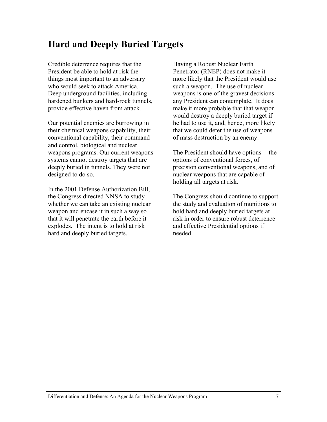## **Hard and Deeply Buried Targets**

Credible deterrence requires that the President be able to hold at risk the things most important to an adversary who would seek to attack America. Deep underground facilities, including hardened bunkers and hard-rock tunnels, provide effective haven from attack.

Our potential enemies are burrowing in their chemical weapons capability, their conventional capability, their command and control, biological and nuclear weapons programs. Our current weapons systems cannot destroy targets that are deeply buried in tunnels. They were not designed to do so.

In the 2001 Defense Authorization Bill, the Congress directed NNSA to study whether we can take an existing nuclear weapon and encase it in such a way so that it will penetrate the earth before it explodes. The intent is to hold at risk hard and deeply buried targets.

Having a Robust Nuclear Earth Penetrator (RNEP) does not make it more likely that the President would use such a weapon. The use of nuclear weapons is one of the gravest decisions any President can contemplate. It does make it more probable that that weapon would destroy a deeply buried target if he had to use it, and, hence, more likely that we could deter the use of weapons of mass destruction by an enemy.

The President should have options -- the options of conventional forces, of precision conventional weapons, and of nuclear weapons that are capable of holding all targets at risk.

The Congress should continue to support the study and evaluation of munitions to hold hard and deeply buried targets at risk in order to ensure robust deterrence and effective Presidential options if needed.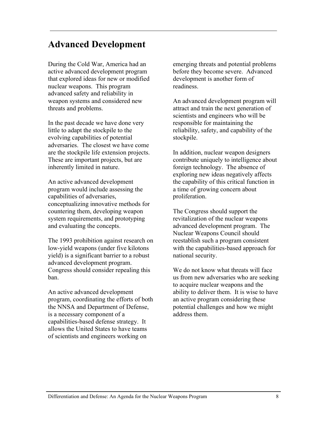## **Advanced Development**

During the Cold War, America had an active advanced development program that explored ideas for new or modified nuclear weapons. This program advanced safety and reliability in weapon systems and considered new threats and problems.

In the past decade we have done very little to adapt the stockpile to the evolving capabilities of potential adversaries. The closest we have come are the stockpile life extension projects. These are important projects, but are inherently limited in nature.

An active advanced development program would include assessing the capabilities of adversaries, conceptualizing innovative methods for countering them, developing weapon system requirements, and prototyping and evaluating the concepts.

The 1993 prohibition against research on low-yield weapons (under five kilotons yield) is a significant barrier to a robust advanced development program. Congress should consider repealing this ban.

An active advanced development program, coordinating the efforts of both the NNSA and Department of Defense, is a necessary component of a capabilities-based defense strategy. It allows the United States to have teams of scientists and engineers working on

emerging threats and potential problems before they become severe. Advanced development is another form of readiness.

An advanced development program will attract and train the next generation of scientists and engineers who will be responsible for maintaining the reliability, safety, and capability of the stockpile.

In addition, nuclear weapon designers contribute uniquely to intelligence about foreign technology. The absence of exploring new ideas negatively affects the capability of this critical function in a time of growing concern about proliferation.

The Congress should support the revitalization of the nuclear weapons advanced development program. The Nuclear Weapons Council should reestablish such a program consistent with the capabilities-based approach for national security.

We do not know what threats will face us from new adversaries who are seeking to acquire nuclear weapons and the ability to deliver them. It is wise to have an active program considering these potential challenges and how we might address them.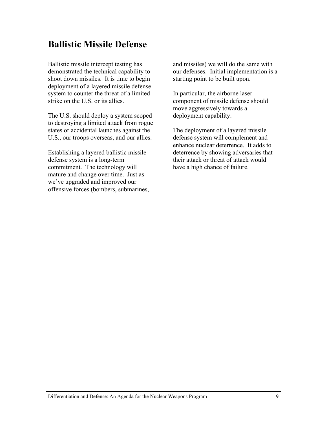## **Ballistic Missile Defense**

Ballistic missile intercept testing has demonstrated the technical capability to shoot down missiles. It is time to begin deployment of a layered missile defense system to counter the threat of a limited strike on the U.S. or its allies.

The U.S. should deploy a system scoped to destroying a limited attack from rogue states or accidental launches against the U.S., our troops overseas, and our allies.

Establishing a layered ballistic missile defense system is a long-term commitment. The technology will mature and change over time. Just as we've upgraded and improved our offensive forces (bombers, submarines, and missiles) we will do the same with our defenses. Initial implementation is a starting point to be built upon.

In particular, the airborne laser component of missile defense should move aggressively towards a deployment capability.

The deployment of a layered missile defense system will complement and enhance nuclear deterrence. It adds to deterrence by showing adversaries that their attack or threat of attack would have a high chance of failure.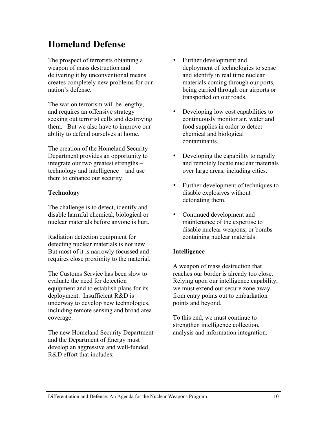## **Homeland Defense**

The prospect of terrorists obtaining a weapon of mass destruction and delivering it by unconventional means creates completely new problems for our nation's defense.

The war on terrorism will be lengthy, and requires an offensive strategy – seeking out terrorist cells and destroying them. But we also have to improve our ability to defend ourselves at home.

The creation of the Homeland Security Department provides an opportunity to integrate our two greatest strengths – technology and intelligence – and use them to enhance our security.

#### **Technology**

The challenge is to detect, identify and disable harmful chemical, biological or nuclear materials before anyone is hurt.

Radiation detection equipment for detecting nuclear materials is not new. But most of it is narrowly focussed and requires close proximity to the material.

The Customs Service has been slow to evaluate the need for detection equipment and to establish plans for its deployment. Insufficient R&D is underway to develop new technologies, including remote sensing and broad area coverage.

The new Homeland Security Department and the Department of Energy must develop an aggressive and well-funded R&D effort that includes:

Further development and deployment of technologies to sense and identify in real time nuclear materials coming through our ports, being carried through our airports or transported on our roads.

Developing low cost capabilities to continuously monitor air, water and food supplies in order to detect chemical and biological contaminants.

Developing the capability to rapidly and remotely locate nuclear materials over large areas, including cities.

Further development of techniques to disable explosives without detonating them.

Continued development and maintenance of the expertise to disable nuclear weapons, or bombs containing nuclear materials.

#### **Intelligence**

A weapon of mass destruction that reaches our border is already too close. Relying upon our intelligence capability, we must extend our secure zone away from entry points out to embarkation points and beyond.

To this end, we must continue to strengthen intelligence collection, analysis and information integration.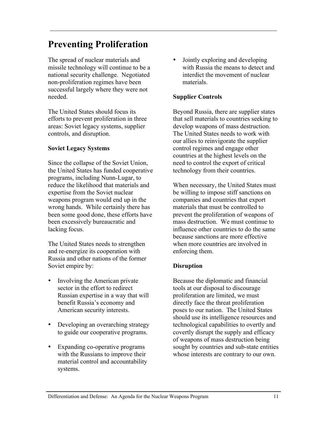## **Preventing Proliferation**

The spread of nuclear materials and missile technology will continue to be a national security challenge. Negotiated non-proliferation regimes have been successful largely where they were not needed.

The United States should focus its efforts to prevent proliferation in three areas: Soviet legacy systems, supplier controls, and disruption.

#### **Soviet Legacy Systems**

Since the collapse of the Soviet Union, the United States has funded cooperative programs, including Nunn-Lugar, to reduce the likelihood that materials and expertise from the Soviet nuclear weapons program would end up in the wrong hands. While certainly there has been some good done, these efforts have been excessively bureaucratic and lacking focus.

The United States needs to strengthen and re-energize its cooperation with Russia and other nations of the former Soviet empire by:

Involving the American private sector in the effort to redirect Russian expertise in a way that will benefit Russia's economy and American security interests.

Developing an overarching strategy to guide our cooperative programs.

Expanding co-operative programs with the Russians to improve their material control and accountability systems.

Jointly exploring and developing with Russia the means to detect and interdict the movement of nuclear materials.

#### **Supplier Controls**

Beyond Russia, there are supplier states that sell materials to countries seeking to develop weapons of mass destruction. The United States needs to work with our allies to reinvigorate the supplier control regimes and engage other countries at the highest levels on the need to control the export of critical technology from their countries.

When necessary, the United States must be willing to impose stiff sanctions on companies and countries that export materials that must be controlled to prevent the proliferation of weapons of mass destruction. We must continue to influence other countries to do the same because sanctions are more effective when more countries are involved in enforcing them.

#### **Disruption**

Because the diplomatic and financial tools at our disposal to discourage proliferation are limited, we must directly face the threat proliferation poses to our nation. The United States should use its intelligence resources and technological capabilities to overtly and covertly disrupt the supply and efficacy of weapons of mass destruction being sought by countries and sub-state entities whose interests are contrary to our own.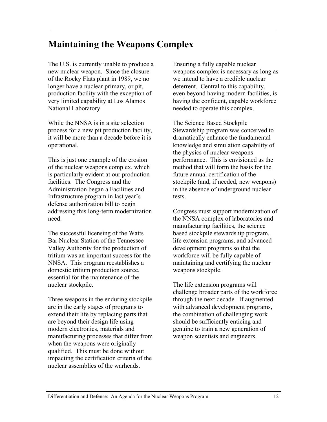## **Maintaining the Weapons Complex**

The U.S. is currently unable to produce a new nuclear weapon. Since the closure of the Rocky Flats plant in 1989, we no longer have a nuclear primary, or pit, production facility with the exception of very limited capability at Los Alamos National Laboratory.

While the NNSA is in a site selection process for a new pit production facility, it will be more than a decade before it is operational.

This is just one example of the erosion of the nuclear weapons complex, which is particularly evident at our production facilities. The Congress and the Administration began a Facilities and Infrastructure program in last year's defense authorization bill to begin addressing this long-term modernization need.

The successful licensing of the Watts Bar Nuclear Station of the Tennessee Valley Authority for the production of tritium was an important success for the NNSA. This program reestablishes a domestic tritium production source, essential for the maintenance of the nuclear stockpile.

Three weapons in the enduring stockpile are in the early stages of programs to extend their life by replacing parts that are beyond their design life using modern electronics, materials and manufacturing processes that differ from when the weapons were originally qualified. This must be done without impacting the certification criteria of the nuclear assemblies of the warheads.

Ensuring a fully capable nuclear weapons complex is necessary as long as we intend to have a credible nuclear deterrent. Central to this capability, even beyond having modern facilities, is having the confident, capable workforce needed to operate this complex.

The Science Based Stockpile Stewardship program was conceived to dramatically enhance the fundamental knowledge and simulation capability of the physics of nuclear weapons performance. This is envisioned as the method that will form the basis for the future annual certification of the stockpile (and, if needed, new weapons) in the absence of underground nuclear tests.

Congress must support modernization of the NNSA complex of laboratories and manufacturing facilities, the science based stockpile stewardship program, life extension programs, and advanced development programs so that the workforce will be fully capable of maintaining and certifying the nuclear weapons stockpile.

The life extension programs will challenge broader parts of the workforce through the next decade. If augmented with advanced development programs, the combination of challenging work should be sufficiently enticing and genuine to train a new generation of weapon scientists and engineers.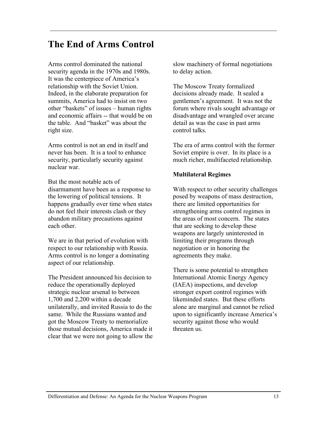## **The End of Arms Control**

Arms control dominated the national security agenda in the 1970s and 1980s. It was the centerpiece of America's relationship with the Soviet Union. Indeed, in the elaborate preparation for summits, America had to insist on two other "baskets" of issues – human rights and economic affairs -- that would be on the table. And "basket" was about the right size.

Arms control is not an end in itself and never has been. It is a tool to enhance security, particularly security against nuclear war.

But the most notable acts of disarmament have been as a response to the lowering of political tensions. It happens gradually over time when states do not feel their interests clash or they abandon military precautions against each other.

We are in that period of evolution with respect to our relationship with Russia. Arms control is no longer a dominating aspect of our relationship.

The President announced his decision to reduce the operationally deployed strategic nuclear arsenal to between 1,700 and 2,200 within a decade unilaterally, and invited Russia to do the same. While the Russians wanted and got the Moscow Treaty to memorialize those mutual decisions, America made it clear that we were not going to allow the slow machinery of formal negotiations to delay action.

The Moscow Treaty formalized decisions already made. It sealed a gentlemen's agreement. It was not the forum where rivals sought advantage or disadvantage and wrangled over arcane detail as was the case in past arms control talks.

The era of arms control with the former Soviet empire is over. In its place is a much richer, multifaceted relationship.

#### **Multilateral Regimes**

With respect to other security challenges posed by weapons of mass destruction, there are limited opportunities for strengthening arms control regimes in the areas of most concern. The states that are seeking to develop these weapons are largely uninterested in limiting their programs through negotiation or in honoring the agreements they make.

There is some potential to strengthen International Atomic Energy Agency (IAEA) inspections, and develop stronger export control regimes with likeminded states. But these efforts alone are marginal and cannot be relied upon to significantly increase America's security against those who would threaten us.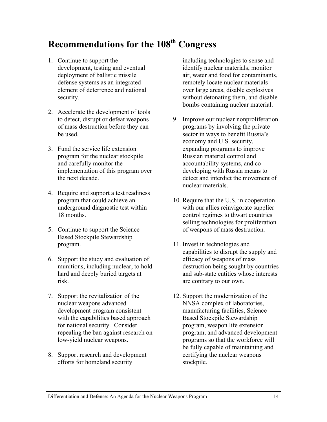## **Recommendations for the 108th Congress**

- 1. Continue to support the development, testing and eventual deployment of ballistic missile defense systems as an integrated element of deterrence and national security.
- 2. Accelerate the development of tools to detect, disrupt or defeat weapons of mass destruction before they can be used.
- 3. Fund the service life extension program for the nuclear stockpile and carefully monitor the implementation of this program over the next decade.
- 4. Require and support a test readiness program that could achieve an underground diagnostic test within 18 months.
- 5. Continue to support the Science Based Stockpile Stewardship program.
- 6. Support the study and evaluation of munitions, including nuclear, to hold hard and deeply buried targets at risk.
- 7. Support the revitalization of the nuclear weapons advanced development program consistent with the capabilities based approach for national security. Consider repealing the ban against research on low-yield nuclear weapons.
- 8. Support research and development efforts for homeland security

including technologies to sense and identify nuclear materials, monitor air, water and food for contaminants, remotely locate nuclear materials over large areas, disable explosives without detonating them, and disable bombs containing nuclear material.

- 9. Improve our nuclear nonproliferation programs by involving the private sector in ways to benefit Russia's economy and U.S. security, expanding programs to improve Russian material control and accountability systems, and codeveloping with Russia means to detect and interdict the movement of nuclear materials.
- 10. Require that the U.S. in cooperation with our allies reinvigorate supplier control regimes to thwart countries selling technologies for proliferation of weapons of mass destruction.
- 11. Invest in technologies and capabilities to disrupt the supply and efficacy of weapons of mass destruction being sought by countries and sub-state entities whose interests are contrary to our own.
- 12. Support the modernization of the NNSA complex of laboratories, manufacturing facilities, Science Based Stockpile Stewardship program, weapon life extension program, and advanced development programs so that the workforce will be fully capable of maintaining and certifying the nuclear weapons stockpile.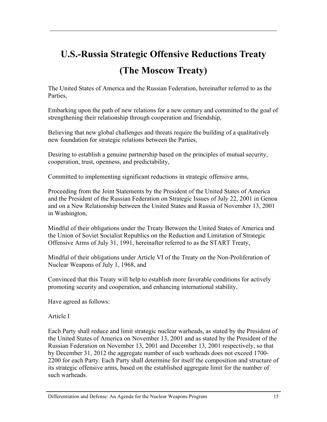## **U.S.-Russia Strategic Offensive Reductions Treaty (The Moscow Treaty)**

The United States of America and the Russian Federation, hereinafter referred to as the Parties,

Embarking upon the path of new relations for a new century and committed to the goal of strengthening their relationship through cooperation and friendship,

Believing that new global challenges and threats require the building of a qualitatively new foundation for strategic relations between the Parties,

Desiring to establish a genuine partnership based on the principles of mutual security, cooperation, trust, openness, and predictability,

Committed to implementing significant reductions in strategic offensive arms,

Proceeding from the Joint Statements by the President of the United States of America and the President of the Russian Federation on Strategic Issues of July 22, 2001 in Genoa and on a New Relationship between the United States and Russia of November 13, 2001 in Washington,

Mindful of their obligations under the Treaty Between the United States of America and the Union of Soviet Socialist Republics on the Reduction and Limitation of Strategic Offensive Arms of July 31, 1991, hereinafter referred to as the START Treaty,

Mindful of their obligations under Article VI of the Treaty on the Non-Proliferation of Nuclear Weapons of July 1, 1968, and

Convinced that this Treaty will help to establish more favorable conditions for actively promoting security and cooperation, and enhancing international stability,

Have agreed as follows:

Article I

Each Party shall reduce and limit strategic nuclear warheads, as stated by the President of the United States of America on November 13, 2001 and as stated by the President of the Russian Federation on November 13, 2001 and December 13, 2001 respectively, so that by December 31, 2012 the aggregate number of such warheads does not exceed 1700- 2200 for each Party. Each Party shall determine for itself the composition and structure of its strategic offensive arms, based on the established aggregate limit for the number of such warheads.